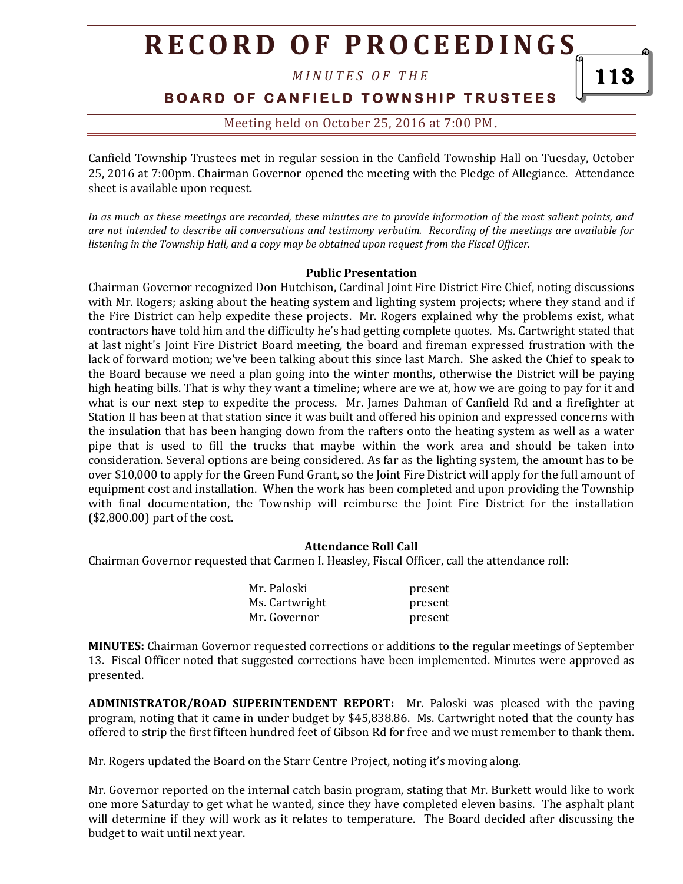*M I N U T E S O F T H E* 

**BOARD OF CANFIELD TOWNSHIP TRUSTEES** 

### Meeting held on October 25, 2016 at 7:00 PM**.**

Canfield Township Trustees met in regular session in the Canfield Township Hall on Tuesday, October 25, 2016 at 7:00pm. Chairman Governor opened the meeting with the Pledge of Allegiance. Attendance sheet is available upon request.

*In as much as these meetings are recorded, these minutes are to provide information of the most salient points, and are not intended to describe all conversations and testimony verbatim. Recording of the meetings are available for listening in the Township Hall, and a copy may be obtained upon request from the Fiscal Officer.* 

#### **Public Presentation**

Chairman Governor recognized Don Hutchison, Cardinal Joint Fire District Fire Chief, noting discussions with Mr. Rogers; asking about the heating system and lighting system projects; where they stand and if the Fire District can help expedite these projects. Mr. Rogers explained why the problems exist, what contractors have told him and the difficulty he's had getting complete quotes. Ms. Cartwright stated that at last night's Joint Fire District Board meeting, the board and fireman expressed frustration with the lack of forward motion; we've been talking about this since last March. She asked the Chief to speak to the Board because we need a plan going into the winter months, otherwise the District will be paying high heating bills. That is why they want a timeline; where are we at, how we are going to pay for it and what is our next step to expedite the process. Mr. James Dahman of Canfield Rd and a firefighter at Station II has been at that station since it was built and offered his opinion and expressed concerns with the insulation that has been hanging down from the rafters onto the heating system as well as a water pipe that is used to fill the trucks that maybe within the work area and should be taken into consideration. Several options are being considered. As far as the lighting system, the amount has to be over \$10,000 to apply for the Green Fund Grant, so the Joint Fire District will apply for the full amount of equipment cost and installation. When the work has been completed and upon providing the Township with final documentation, the Township will reimburse the Joint Fire District for the installation (\$2,800.00) part of the cost.

#### **Attendance Roll Call**

Chairman Governor requested that Carmen I. Heasley, Fiscal Officer, call the attendance roll:

| Mr. Paloski    | present |
|----------------|---------|
| Ms. Cartwright | present |
| Mr. Governor   | present |

**MINUTES:** Chairman Governor requested corrections or additions to the regular meetings of September 13. Fiscal Officer noted that suggested corrections have been implemented. Minutes were approved as presented.

**ADMINISTRATOR/ROAD SUPERINTENDENT REPORT:** Mr. Paloski was pleased with the paving program, noting that it came in under budget by \$45,838.86. Ms. Cartwright noted that the county has offered to strip the first fifteen hundred feet of Gibson Rd for free and we must remember to thank them.

Mr. Rogers updated the Board on the Starr Centre Project, noting it's moving along.

Mr. Governor reported on the internal catch basin program, stating that Mr. Burkett would like to work one more Saturday to get what he wanted, since they have completed eleven basins. The asphalt plant will determine if they will work as it relates to temperature. The Board decided after discussing the budget to wait until next year.

113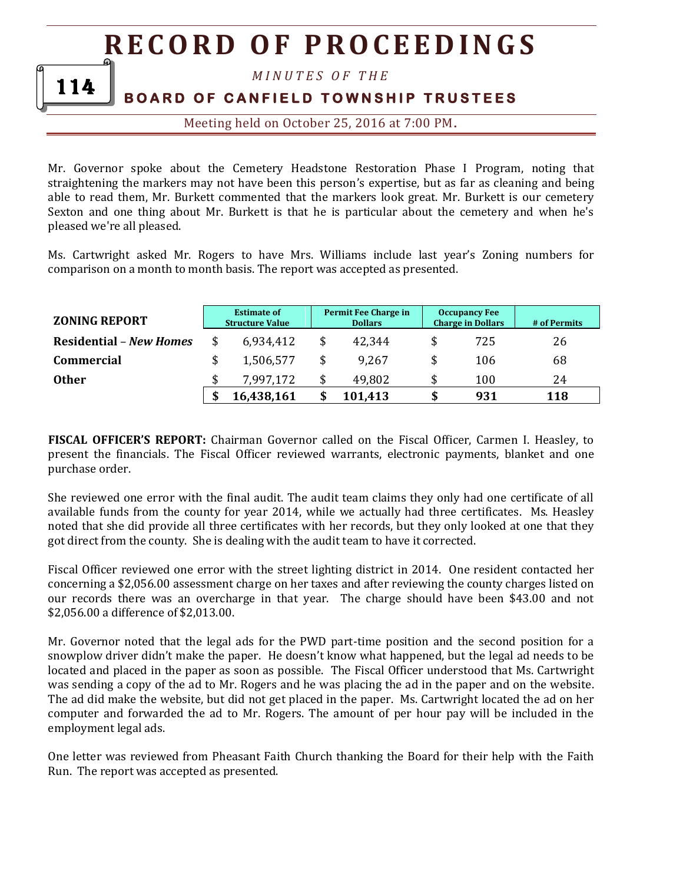*M I N U T E S O F T H E* 

### **BOARD OF CANFIELD TOWNSHIP TRUSTEES**

114

Meeting held on October 25, 2016 at 7:00 PM**.**

Mr. Governor spoke about the Cemetery Headstone Restoration Phase I Program, noting that straightening the markers may not have been this person's expertise, but as far as cleaning and being able to read them, Mr. Burkett commented that the markers look great. Mr. Burkett is our cemetery Sexton and one thing about Mr. Burkett is that he is particular about the cemetery and when he's pleased we're all pleased.

Ms. Cartwright asked Mr. Rogers to have Mrs. Williams include last year's Zoning numbers for comparison on a month to month basis. The report was accepted as presented.

| <b>ZONING REPORT</b>           | <b>Estimate of</b><br><b>Structure Value</b> | Permit Fee Charge in<br><b>Dollars</b> | <b>Occupancy Fee</b><br><b>Charge in Dollars</b> | # of Permits |
|--------------------------------|----------------------------------------------|----------------------------------------|--------------------------------------------------|--------------|
| <b>Residential – New Homes</b> | \$<br>6,934,412                              | 42,344                                 | \$<br>725                                        | 26           |
| <b>Commercial</b>              | \$<br>1,506,577                              | 9.267                                  | 106                                              | 68           |
| <b>Other</b>                   | 7,997,172                                    | 49,802                                 | 100                                              | 24           |
|                                | 16,438,161                                   | 101,413                                | 931                                              | 118          |

**FISCAL OFFICER'S REPORT:** Chairman Governor called on the Fiscal Officer, Carmen I. Heasley, to present the financials. The Fiscal Officer reviewed warrants, electronic payments, blanket and one purchase order.

She reviewed one error with the final audit. The audit team claims they only had one certificate of all available funds from the county for year 2014, while we actually had three certificates. Ms. Heasley noted that she did provide all three certificates with her records, but they only looked at one that they got direct from the county. She is dealing with the audit team to have it corrected.

Fiscal Officer reviewed one error with the street lighting district in 2014. One resident contacted her concerning a \$2,056.00 assessment charge on her taxes and after reviewing the county charges listed on our records there was an overcharge in that year. The charge should have been \$43.00 and not \$2,056.00 a difference of \$2,013.00.

Mr. Governor noted that the legal ads for the PWD part-time position and the second position for a snowplow driver didn't make the paper. He doesn't know what happened, but the legal ad needs to be located and placed in the paper as soon as possible. The Fiscal Officer understood that Ms. Cartwright was sending a copy of the ad to Mr. Rogers and he was placing the ad in the paper and on the website. The ad did make the website, but did not get placed in the paper. Ms. Cartwright located the ad on her computer and forwarded the ad to Mr. Rogers. The amount of per hour pay will be included in the employment legal ads.

One letter was reviewed from Pheasant Faith Church thanking the Board for their help with the Faith Run. The report was accepted as presented.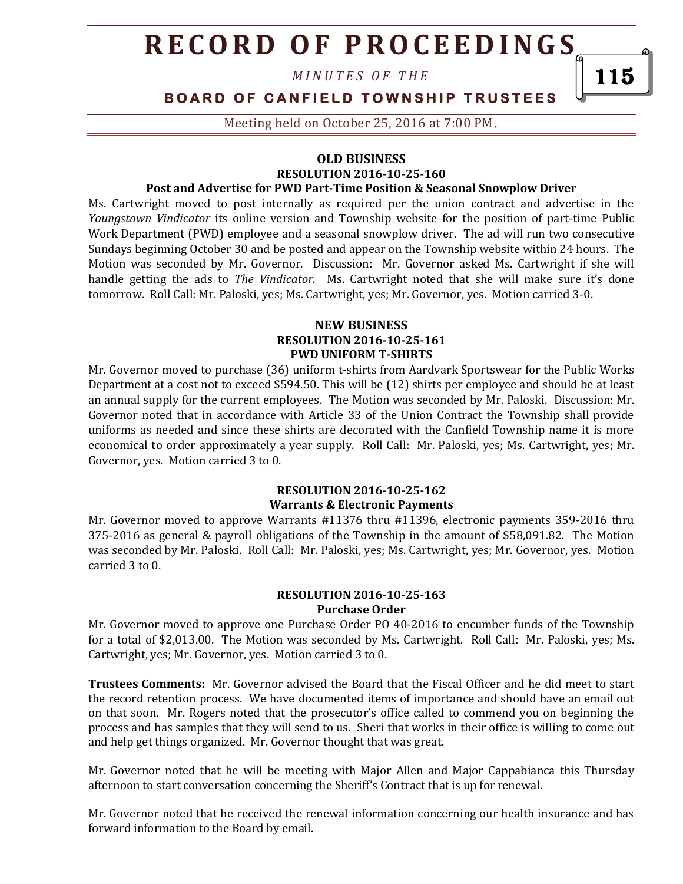*M I N U T E S O F T H E* 

### **BOARD OF CANFIELD TOWNSHIP TRUSTEES**

Meeting held on October 25, 2016 at 7:00 PM**.**

#### **OLD BUSINESS**

#### **RESOLUTION 2016-10-25-160**

#### **Post and Advertise for PWD Part-Time Position & Seasonal Snowplow Driver**

Ms. Cartwright moved to post internally as required per the union contract and advertise in the *Youngstown Vindicator* its online version and Township website for the position of part-time Public Work Department (PWD) employee and a seasonal snowplow driver. The ad will run two consecutive Sundays beginning October 30 and be posted and appear on the Township website within 24 hours. The Motion was seconded by Mr. Governor. Discussion: Mr. Governor asked Ms. Cartwright if she will handle getting the ads to *The Vindicator*. Ms. Cartwright noted that she will make sure it's done tomorrow. Roll Call: Mr. Paloski, yes; Ms. Cartwright, yes; Mr. Governor, yes. Motion carried 3-0.

#### **NEW BUSINESS RESOLUTION 2016-10-25-161 PWD UNIFORM T-SHIRTS**

Mr. Governor moved to purchase (36) uniform t-shirts from Aardvark Sportswear for the Public Works Department at a cost not to exceed \$594.50. This will be (12) shirts per employee and should be at least an annual supply for the current employees. The Motion was seconded by Mr. Paloski. Discussion: Mr. Governor noted that in accordance with Article 33 of the Union Contract the Township shall provide uniforms as needed and since these shirts are decorated with the Canfield Township name it is more economical to order approximately a year supply. Roll Call: Mr. Paloski, yes; Ms. Cartwright, yes; Mr. Governor, yes. Motion carried 3 to 0.

#### **RESOLUTION 2016-10-25-162 Warrants & Electronic Payments**

Mr. Governor moved to approve Warrants #11376 thru #11396, electronic payments 359-2016 thru 375-2016 as general & payroll obligations of the Township in the amount of \$58,091.82. The Motion was seconded by Mr. Paloski. Roll Call: Mr. Paloski, yes; Ms. Cartwright, yes; Mr. Governor, yes. Motion carried 3 to 0.

#### **RESOLUTION 2016-10-25-163 Purchase Order**

Mr. Governor moved to approve one Purchase Order PO 40-2016 to encumber funds of the Township for a total of \$2,013.00. The Motion was seconded by Ms. Cartwright. Roll Call: Mr. Paloski, yes; Ms. Cartwright, yes; Mr. Governor, yes. Motion carried 3 to 0.

**Trustees Comments:** Mr. Governor advised the Board that the Fiscal Officer and he did meet to start the record retention process. We have documented items of importance and should have an email out on that soon. Mr. Rogers noted that the prosecutor's office called to commend you on beginning the process and has samples that they will send to us. Sheri that works in their office is willing to come out and help get things organized. Mr. Governor thought that was great.

Mr. Governor noted that he will be meeting with Major Allen and Major Cappabianca this Thursday afternoon to start conversation concerning the Sheriff's Contract that is up for renewal.

Mr. Governor noted that he received the renewal information concerning our health insurance and has forward information to the Board by email.

115